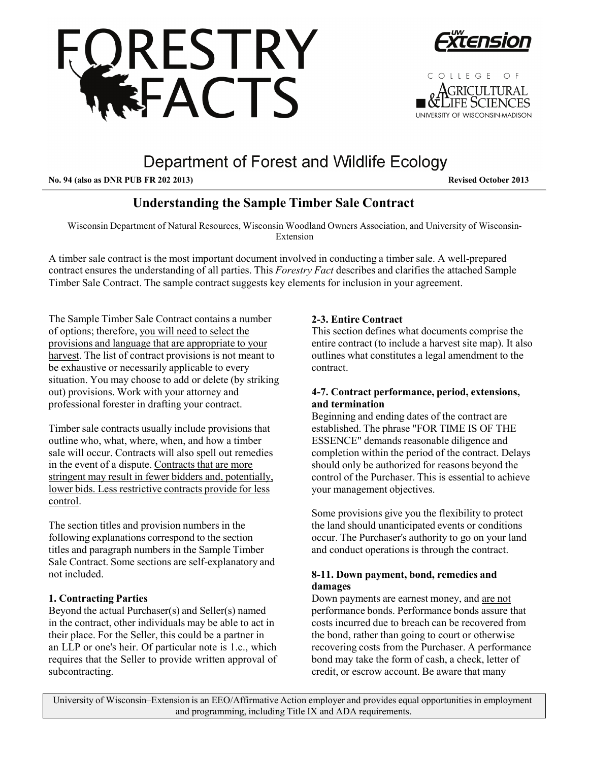





# Department of Forest and Wildlife Ecology

**No. 94 (also as DNR PUB FR 202 2013) Revised October 2013**

## **Understanding the Sample Timber Sale Contract**

Wisconsin Department of Natural Resources, Wisconsin Woodland Owners Association, and University of Wisconsin-Extension

A timber sale contract is the most important document involved in conducting a timber sale. A well-prepared contract ensures the understanding of all parties. This *Forestry Fact* describes and clarifies the attached Sample Timber Sale Contract. The sample contract suggests key elements for inclusion in your agreement.

The Sample Timber Sale Contract contains a number of options; therefore, you will need to select the provisions and language that are appropriate to your harvest. The list of contract provisions is not meant to be exhaustive or necessarily applicable to every situation. You may choose to add or delete (by striking out) provisions. Work with your attorney and professional forester in drafting your contract.

Timber sale contracts usually include provisions that outline who, what, where, when, and how a timber sale will occur. Contracts will also spell out remedies in the event of a dispute. Contracts that are more stringent may result in fewer bidders and, potentially, lower bids. Less restrictive contracts provide for less control.

The section titles and provision numbers in the following explanations correspond to the section titles and paragraph numbers in the Sample Timber Sale Contract. Some sections are self-explanatory and not included.

### **1. Contracting Parties**

Beyond the actual Purchaser(s) and Seller(s) named in the contract, other individuals may be able to act in their place. For the Seller, this could be a partner in an LLP or one's heir. Of particular note is 1.c., which requires that the Seller to provide written approval of subcontracting.

### **2-3. Entire Contract**

This section defines what documents comprise the entire contract (to include a harvest site map). It also outlines what constitutes a legal amendment to the contract.

### **4-7. Contract performance, period, extensions, and termination**

Beginning and ending dates of the contract are established. The phrase "FOR TIME IS OF THE ESSENCE" demands reasonable diligence and completion within the period of the contract. Delays should only be authorized for reasons beyond the control of the Purchaser. This is essential to achieve your management objectives.

Some provisions give you the flexibility to protect the land should unanticipated events or conditions occur. The Purchaser's authority to go on your land and conduct operations is through the contract.

### **8-11. Down payment, bond, remedies and damages**

Down payments are earnest money, and are not performance bonds. Performance bonds assure that costs incurred due to breach can be recovered from the bond, rather than going to court or otherwise recovering costs from the Purchaser. A performance bond may take the form of cash, a check, letter of credit, or escrow account. Be aware that many

University of Wisconsin–Extension is an EEO/Affirmative Action employer and provides equal opportunities in employment and programming, including Title IX and ADA requirements.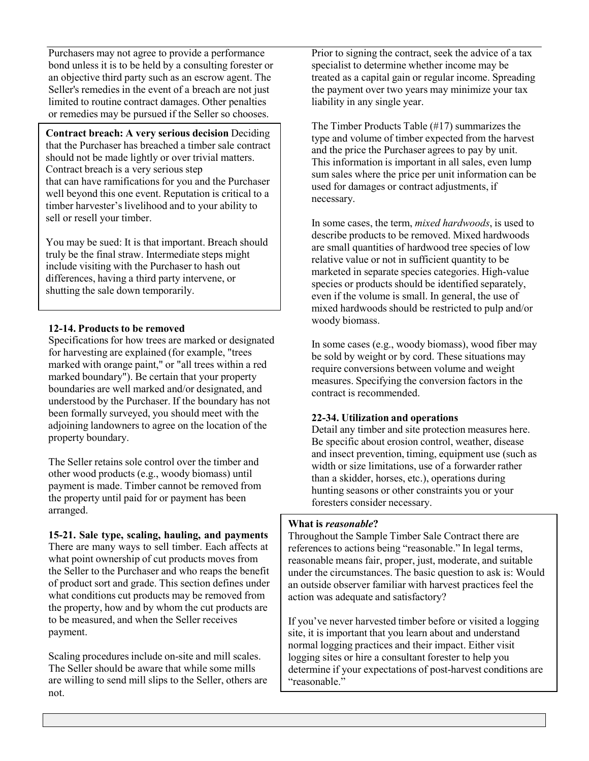Purchasers may not agree to provide a performance bond unless it is to be held by a consulting forester or an objective third party such as an escrow agent. The Seller's remedies in the event of a breach are not just limited to routine contract damages. Other penalties or remedies may be pursued if the Seller so chooses.

**Contract breach: A very serious decision** Deciding that the Purchaser has breached a timber sale contract should not be made lightly or over trivial matters. Contract breach is a very serious step that can have ramifications for you and the Purchaser well beyond this one event. Reputation is critical to a timber harvester's livelihood and to your ability to sell or resell your timber.

You may be sued: It is that important. Breach should truly be the final straw. Intermediate steps might include visiting with the Purchaser to hash out differences, having a third party intervene, or shutting the sale down temporarily.

### **12-14. Products to be removed**

Specifications for how trees are marked or designated for harvesting are explained (for example, "trees marked with orange paint," or "all trees within a red marked boundary"). Be certain that your property boundaries are well marked and/or designated, and understood by the Purchaser. If the boundary has not been formally surveyed, you should meet with the adjoining landowners to agree on the location of the property boundary.

The Seller retains sole control over the timber and other wood products (e.g., woody biomass) until payment is made. Timber cannot be removed from the property until paid for or payment has been arranged.

**15-21. Sale type, scaling, hauling, and payments**  There are many ways to sell timber. Each affects at what point ownership of cut products moves from the Seller to the Purchaser and who reaps the benefit of product sort and grade. This section defines under what conditions cut products may be removed from the property, how and by whom the cut products are to be measured, and when the Seller receives payment.

Scaling procedures include on-site and mill scales. The Seller should be aware that while some mills are willing to send mill slips to the Seller, others are not.

Prior to signing the contract, seek the advice of a tax specialist to determine whether income may be treated as a capital gain or regular income. Spreading the payment over two years may minimize your tax liability in any single year.

The Timber Products Table (#17) summarizes the type and volume of timber expected from the harvest and the price the Purchaser agrees to pay by unit. This information is important in all sales, even lump sum sales where the price per unit information can be used for damages or contract adjustments, if necessary.

In some cases, the term, *mixed hardwoods*, is used to describe products to be removed. Mixed hardwoods are small quantities of hardwood tree species of low relative value or not in sufficient quantity to be marketed in separate species categories. High-value species or products should be identified separately, even if the volume is small. In general, the use of mixed hardwoods should be restricted to pulp and/or woody biomass.

In some cases (e.g., woody biomass), wood fiber may be sold by weight or by cord. These situations may require conversions between volume and weight measures. Specifying the conversion factors in the contract is recommended.

### **22-34. Utilization and operations**

Detail any timber and site protection measures here. Be specific about erosion control, weather, disease and insect prevention, timing, equipment use (such as width or size limitations, use of a forwarder rather than a skidder, horses, etc.), operations during hunting seasons or other constraints you or your foresters consider necessary.

### **What is** *reasonable***?**

Throughout the Sample Timber Sale Contract there are references to actions being "reasonable." In legal terms, reasonable means fair, proper, just, moderate, and suitable under the circumstances. The basic question to ask is: Would an outside observer familiar with harvest practices feel the action was adequate and satisfactory?

If you've never harvested timber before or visited a logging site, it is important that you learn about and understand normal logging practices and their impact. Either visit logging sites or hire a consultant forester to help you determine if your expectations of post-harvest conditions are "reasonable."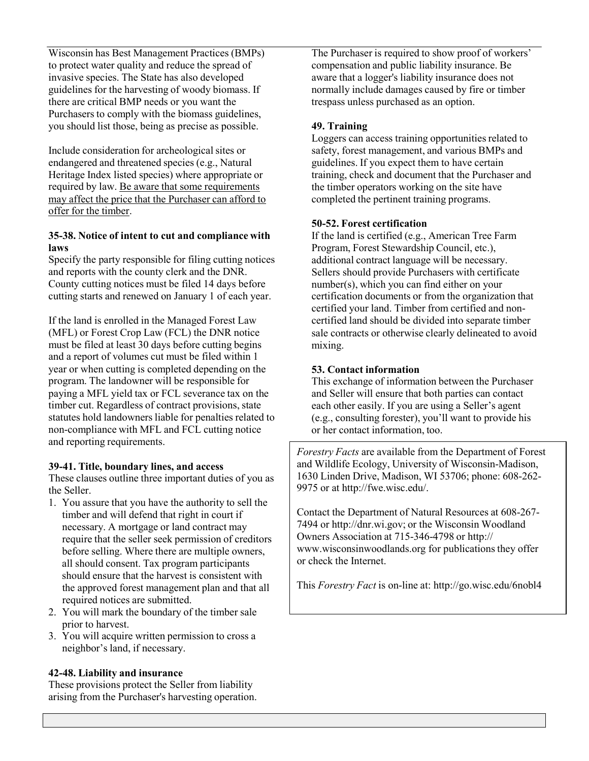Wisconsin has Best Management Practices (BMPs) to protect water quality and reduce the spread of invasive species. The State has also developed guidelines for the harvesting of woody biomass. If there are critical BMP needs or you want the Purchasers to comply with the biomass guidelines, you should list those, being as precise as possible.

Include consideration for archeological sites or endangered and threatened species (e.g., Natural Heritage Index listed species) where appropriate or required by law. Be aware that some requirements may affect the price that the Purchaser can afford to offer for the timber.

### **35-38. Notice of intent to cut and compliance with laws**

Specify the party responsible for filing cutting notices and reports with the county clerk and the DNR. County cutting notices must be filed 14 days before cutting starts and renewed on January 1 of each year.

If the land is enrolled in the Managed Forest Law (MFL) or Forest Crop Law (FCL) the DNR notice must be filed at least 30 days before cutting begins and a report of volumes cut must be filed within 1 year or when cutting is completed depending on the program. The landowner will be responsible for paying a MFL yield tax or FCL severance tax on the timber cut. Regardless of contract provisions, state statutes hold landowners liable for penalties related to non-compliance with MFL and FCL cutting notice and reporting requirements.

### **39-41. Title, boundary lines, and access**

These clauses outline three important duties of you as the Seller.

- 1. You assure that you have the authority to sell the timber and will defend that right in court if necessary. A mortgage or land contract may require that the seller seek permission of creditors before selling. Where there are multiple owners, all should consent. Tax program participants should ensure that the harvest is consistent with the approved forest management plan and that all required notices are submitted.
- 2. You will mark the boundary of the timber sale prior to harvest.
- 3. You will acquire written permission to cross a neighbor's land, if necessary.

### **42-48. Liability and insurance**

These provisions protect the Seller from liability arising from the Purchaser's harvesting operation. The Purchaser is required to show proof of workers' compensation and public liability insurance. Be aware that a logger's liability insurance does not normally include damages caused by fire or timber trespass unless purchased as an option.

### **49. Training**

Loggers can access training opportunities related to safety, forest management, and various BMPs and guidelines. If you expect them to have certain training, check and document that the Purchaser and the timber operators working on the site have completed the pertinent training programs.

### **50-52. Forest certification**

If the land is certified (e.g., American Tree Farm Program, Forest Stewardship Council, etc.), additional contract language will be necessary. Sellers should provide Purchasers with certificate number(s), which you can find either on your certification documents or from the organization that certified your land. Timber from certified and noncertified land should be divided into separate timber sale contracts or otherwise clearly delineated to avoid mixing.

### **53. Contact information**

This exchange of information between the Purchaser and Seller will ensure that both parties can contact each other easily. If you are using a Seller's agent (e.g., consulting forester), you'll want to provide his or her contact information, too.

*Forestry Facts* are available from the Department of Forest and Wildlife Ecology, University of Wisconsin-Madison, 1630 Linden Drive, Madison, WI 53706; phone: 608-262- 9975 or at [http://fwe.wisc.edu/.](http://fwe.wisc.edu/)

Contact the Department of Natural Resources at 608-267- 7494 or http://dnr.wi.gov; or the Wisconsin Woodland Owners Association at 715-346-4798 or http:/[/](http://www.wisconsinwoodlands.org/) [www.wisconsinwoodlands.org](http://www.wisconsinwoodlands.org/) for publications they offer or check the Internet.

This *Forestry Fact* is on-line at: <http://go.wisc.edu/6nobl4>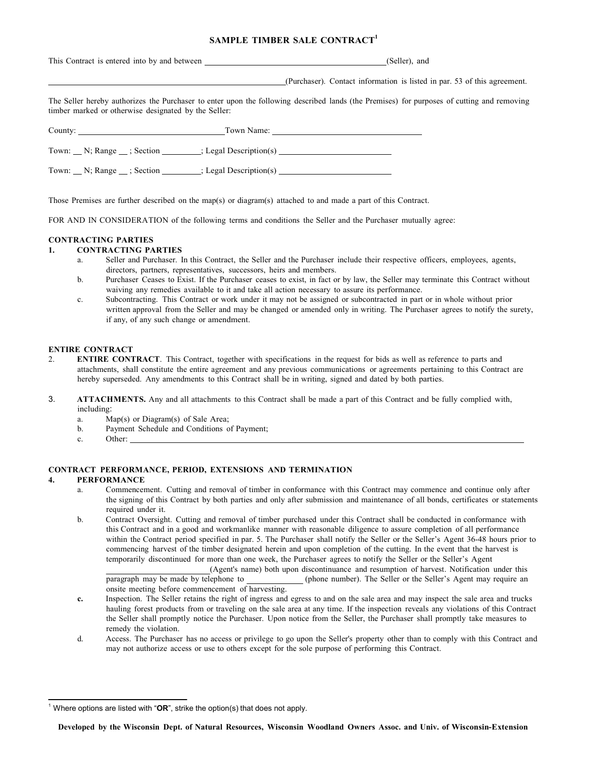#### **SAMPLE TIMBER SALE CONTRACT<sup>1</sup>**

This Contract is entered into by and between (Seller), and

(Purchaser). Contact information is listed in par. 53 of this agreement.

The Seller hereby authorizes the Purchaser to enter upon the following described lands (the Premises) for purposes of cutting and removing timber marked or otherwise designated by the Seller:

|                                               | Town Name:                        |
|-----------------------------------------------|-----------------------------------|
| Town: $\sqrt{N}$ ; Range $\sqrt{N}$ ; Section | $\therefore$ Legal Description(s) |
| Town: $\sqrt{N}$ ; Range $\sqrt{N}$ ; Section | $\therefore$ Legal Description(s) |

Those Premises are further described on the map(s) or diagram(s) attached to and made a part of this Contract.

FOR AND IN CONSIDERATION of the following terms and conditions the Seller and the Purchaser mutually agree:

#### **CONTRACTING PARTIES**

#### **1. CONTRACTING PARTIES**

- a. Seller and Purchaser. In this Contract, the Seller and the Purchaser include their respective officers, employees, agents, directors, partners, representatives, successors, heirs and members.
- b. Purchaser Ceases to Exist. If the Purchaser ceases to exist, in fact or by law, the Seller may terminate this Contract without waiving any remedies available to it and take all action necessary to assure its performance.
- c. Subcontracting. This Contract or work under it may not be assigned or subcontracted in part or in whole without prior written approval from the Seller and may be changed or amended only in writing. The Purchaser agrees to notify the surety, if any, of any such change or amendment.

#### **ENTIRE CONTRACT**

- 2. **ENTIRE CONTRACT**. This Contract, together with specifications in the request for bids as well as reference to parts and attachments, shall constitute the entire agreement and any previous communications or agreements pertaining to this Contract are hereby superseded. Any amendments to this Contract shall be in writing, signed and dated by both parties.
- 3. **ATTACHMENTS.** Any and all attachments to this Contract shall be made a part of this Contract and be fully complied with, including:
	- a. Map(s) or Diagram(s) of Sale Area;
	- b. Payment Schedule and Conditions of Payment;
	- c. Other:

#### **CONTRACT PERFORMANCE, PERIOD, EXTENSIONS AND TERMINATION**

#### **4. PERFORMANCE**

- a. Commencement. Cutting and removal of timber in conformance with this Contract may commence and continue only after the signing of this Contract by both parties and only after submission and maintenance of all bonds, certificates or statements required under it.
- b. Contract Oversight. Cutting and removal of timber purchased under this Contract shall be conducted in conformance with this Contract and in a good and workmanlike manner with reasonable diligence to assure completion of all performance within the Contract period specified in par. 5. The Purchaser shall notify the Seller or the Seller's Agent 36-48 hours prior to commencing harvest of the timber designated herein and upon completion of the cutting. In the event that the harvest is temporarily discontinued for more than one week, the Purchaser agrees to notify the Seller or the Seller's Agent

(Agent's name) both upon discontinuance and resumption of harvest. Notification under this paragraph may be made by telephone to onsite meeting before commencement of harvesting. (phone number). The Seller or the Seller's Agent may require an

- **c.** Inspection. The Seller retains the right of ingress and egress to and on the sale area and may inspect the sale area and trucks hauling forest products from or traveling on the sale area at any time. If the inspection reveals any violations of this Contract the Seller shall promptly notice the Purchaser. Upon notice from the Seller, the Purchaser shall promptly take measures to remedy the violation.
- d. Access. The Purchaser has no access or privilege to go upon the Seller's property other than to comply with this Contract and may not authorize access or use to others except for the sole purpose of performing this Contract.

<sup>&</sup>lt;sup>1</sup> Where options are listed with "OR", strike the option(s) that does not apply.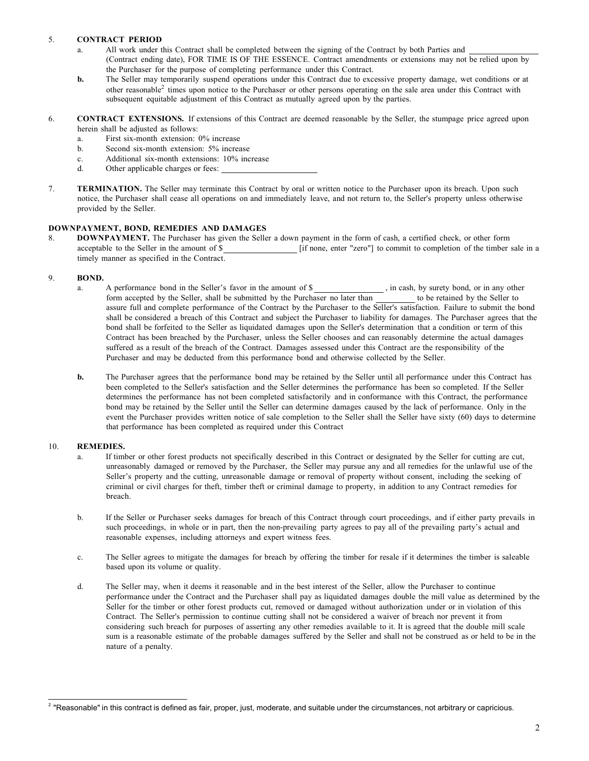#### 5. **CONTRACT PERIOD**

- All work under this Contract shall be completed between the signing of the Contract by both Parties and (Contract ending date), FOR TIME IS OF THE ESSENCE. Contract amendments or extensions may not be relied upon by the Purchaser for the purpose of completing performance under this Contract.
- **b.** The Seller may temporarily suspend operations under this Contract due to excessive property damage, wet conditions or at other reasonable<sup>2</sup> times upon notice to the Purchaser or other persons operating on the sale area under this Contract with subsequent equitable adjustment of this Contract as mutually agreed upon by the parties.
- 6. **CONTRACT EXTENSIONS.** If extensions of this Contract are deemed reasonable by the Seller, the stumpage price agreed upon herein shall be adjusted as follows:
	- a. First six-month extension: 0% increase
	- b. Second six-month extension: 5% increase
	- c. Additional six-month extensions: 10% increase<br>d. Other applicable charges or fees:
	- Other applicable charges or fees:
- 7. **TERMINATION.** The Seller may terminate this Contract by oral or written notice to the Purchaser upon its breach. Upon such notice, the Purchaser shall cease all operations on and immediately leave, and not return to, the Seller's property unless otherwise provided by the Seller.

#### **DOWNPAYMENT, BOND, REMEDIES AND DAMAGES**

8. **DOWNPAYMENT.** The Purchaser has given the Seller a down payment in the form of cash, a certified check, or other form acceptable to the Seller in the amount of \$ timely manner as specified in the Contract. [if none, enter "zero"] to commit to completion of the timber sale in a

#### 9. **BOND.**

- a. A performance bond in the Seller's favor in the amount of \$ form accepted by the Seller, shall be submitted by the Purchaser no later than , in cash, by surety bond, or in any other to be retained by the Seller to assure full and complete performance of the Contract by the Purchaser to the Seller's satisfaction. Failure to submit the bond shall be considered a breach of this Contract and subject the Purchaser to liability for damages. The Purchaser agrees that the bond shall be forfeited to the Seller as liquidated damages upon the Seller's determination that a condition or term of this Contract has been breached by the Purchaser, unless the Seller chooses and can reasonably determine the actual damages suffered as a result of the breach of the Contract. Damages assessed under this Contract are the responsibility of the Purchaser and may be deducted from this performance bond and otherwise collected by the Seller.
- **b.** The Purchaser agrees that the performance bond may be retained by the Seller until all performance under this Contract has been completed to the Seller's satisfaction and the Seller determines the performance has been so completed. If the Seller determines the performance has not been completed satisfactorily and in conformance with this Contract, the performance bond may be retained by the Seller until the Seller can determine damages caused by the lack of performance. Only in the event the Purchaser provides written notice of sale completion to the Seller shall the Seller have sixty (60) days to determine that performance has been completed as required under this Contract

#### 10. **REMEDIES.**

- a. If timber or other forest products not specifically described in this Contract or designated by the Seller for cutting are cut, unreasonably damaged or removed by the Purchaser, the Seller may pursue any and all remedies for the unlawful use of the Seller's property and the cutting, unreasonable damage or removal of property without consent, including the seeking of criminal or civil charges for theft, timber theft or criminal damage to property, in addition to any Contract remedies for breach.
- b. If the Seller or Purchaser seeks damages for breach of this Contract through court proceedings, and if either party prevails in such proceedings, in whole or in part, then the non-prevailing party agrees to pay all of the prevailing party's actual and reasonable expenses, including attorneys and expert witness fees.
- c. The Seller agrees to mitigate the damages for breach by offering the timber for resale if it determines the timber is saleable based upon its volume or quality.
- d. The Seller may, when it deems it reasonable and in the best interest of the Seller, allow the Purchaser to continue performance under the Contract and the Purchaser shall pay as liquidated damages double the mill value as determined by the Seller for the timber or other forest products cut, removed or damaged without authorization under or in violation of this Contract. The Seller's permission to continue cutting shall not be considered a waiver of breach nor prevent it from considering such breach for purposes of asserting any other remedies available to it. It is agreed that the double mill scale sum is a reasonable estimate of the probable damages suffered by the Seller and shall not be construed as or held to be in the nature of a penalty.

<sup>&</sup>lt;sup>2</sup> "Reasonable" in this contract is defined as fair, proper, just, moderate, and suitable under the circumstances, not arbitrary or capricious.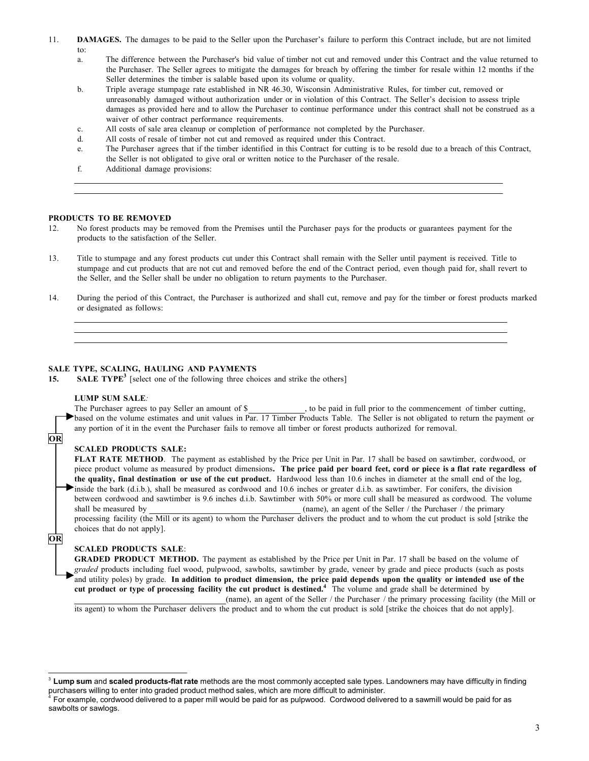- 11. **DAMAGES.** The damages to be paid to the Seller upon the Purchaser's failure to perform this Contract include, but are not limited to:
	- a. The difference between the Purchaser's bid value of timber not cut and removed under this Contract and the value returned to the Purchaser. The Seller agrees to mitigate the damages for breach by offering the timber for resale within 12 months if the Seller determines the timber is salable based upon its volume or quality.
	- b. Triple average stumpage rate established in NR 46.30, Wisconsin Administrative Rules, for timber cut, removed or unreasonably damaged without authorization under or in violation of this Contract. The Seller's decision to assess triple damages as provided here and to allow the Purchaser to continue performance under this contract shall not be construed as a waiver of other contract performance requirements.
	- c. All costs of sale area cleanup or completion of performance not completed by the Purchaser.
	- d. All costs of resale of timber not cut and removed as required under this Contract.
	- e. The Purchaser agrees that if the timber identified in this Contract for cutting is to be resold due to a breach of this Contract, the Seller is not obligated to give oral or written notice to the Purchaser of the resale.
	- f. Additional damage provisions:

#### **PRODUCTS TO BE REMOVED**

- 12. No forest products may be removed from the Premises until the Purchaser pays for the products or guarantees payment for the products to the satisfaction of the Seller.
- 13. Title to stumpage and any forest products cut under this Contract shall remain with the Seller until payment is received. Title to stumpage and cut products that are not cut and removed before the end of the Contract period, even though paid for, shall revert to the Seller, and the Seller shall be under no obligation to return payments to the Purchaser.
- 14. During the period of this Contract, the Purchaser is authorized and shall cut, remove and pay for the timber or forest products marked or designated as follows:

#### **SALE TYPE, SCALING, HAULING AND PAYMENTS**

**15. SALE TYPE<sup>3</sup>** [select one of the following three choices and strike the others]

#### **LUMP SUM SALE***:*

**OR**

**OR**

The Purchaser agrees to pay Seller an amount of \$ , to be paid in full prior to the commencement of timber cutting, based on the volume estimates and unit values in Par. 17 Timber Products Table. The Seller is not obligated to return the payment or any portion of it in the event the Purchaser fails to remove all timber or forest products authorized for removal.

#### **SCALED PRODUCTS SALE:**

**FLAT RATE METHOD**. The payment as established by the Price per Unit in Par. 17 shall be based on sawtimber, cordwood, or piece product volume as measured by product dimensions. The price paid per board feet, cord or piece is a flat rate regardless of **the quality, final destination or use of the cut product.** Hardwood less than 10.6 inches in diameter at the small end of the log, inside the bark (d.i.b.), shall be measured as cordwood and 10.6 inches or greater d.i.b. as sawtimber. For conifers, the division between cordwood and sawtimber is 9.6 inches d.i.b. Sawtimber with 50% or more cull shall be measured as cordwood. The volume shall be measured by (name), an agent of the Seller / the Purchaser / the primary processing facility (the Mill or its agent) to whom the Purchaser delivers the product and to whom the cut product is sold [strike the choices that do not apply].

#### **SCALED PRODUCTS SALE**:

**GRADED PRODUCT METHOD.** The payment as established by the Price per Unit in Par. 17 shall be based on the volume of *graded* products including fuel wood, pulpwood, sawbolts, sawtimber by grade, veneer by grade and piece products (such as posts and utility poles) by grade. In addition to product dimension, the price paid depends upon the quality or intended use of the **cut product or type of processing facility the cut product is destined. <sup>4</sup>**The volume and grade shall be determined by (name), an agent of the Seller / the Purchaser / the primary processing facility (the Mill or

its agent) to whom the Purchaser delivers the product and to whom the cut product is sold [strike the choices that do not apply].

<sup>&</sup>lt;sup>3</sup> Lump sum and scaled products-flat rate methods are the most commonly accepted sale types. Landowners may have difficulty in finding purchasers willing to enter into graded product method sales, which are more difficult

For example, cordwood delivered to a paper mill would be paid for as pulpwood. Cordwood delivered to a sawmill would be paid for as sawbolts or sawlogs.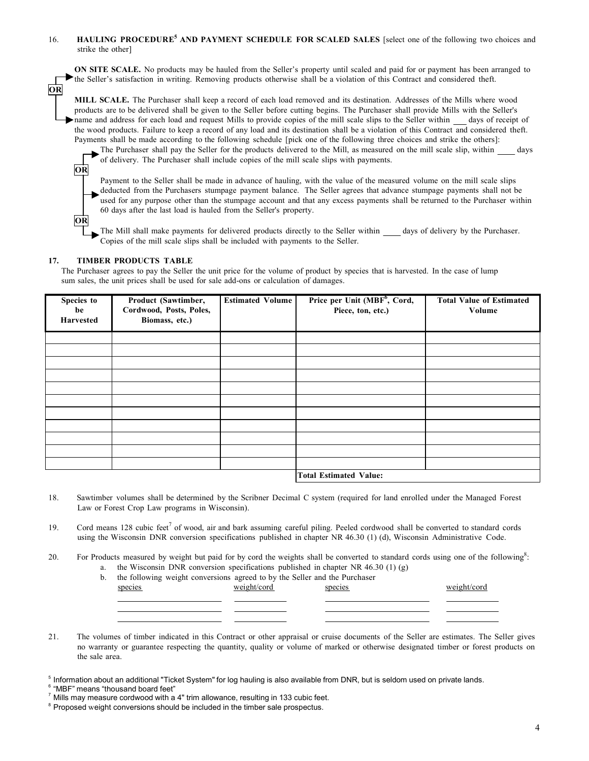#### 16. **HAULING PROCEDURE<sup>5</sup> AND PAYMENT SCHEDULE FOR SCALED SALES** [select one of the following two choices and strike the other]

**ON SITE SCALE.** No products may be hauled from the Seller's property until scaled and paid for or payment has been arranged to the Seller's satisfaction in writing. Removing products otherwise shall be a violation of this Contract and considered theft.

**MILL SCALE.** The Purchaser shall keep a record of each load removed and its destination. Addresses of the Mills where wood products are to be delivered shall be given to the Seller before cutting begins. The Purchaser shall provide Mills with the Seller's name and address for each load and request Mills to provide copies of the mill scale slips to the Seller within days of receipt of the wood products. Failure to keep a record of any load and its destination shall be a violation of this Contract and considered theft. Payments shall be made according to the following schedule [pick one of the following three choices and strike the others]:

The Purchaser shall pay the Seller for the products delivered to the Mill, as measured on the mill scale slip, within of delivery. The Purchaser shall include copies of the mill scale slips with payments. **OR** days

Payment to the Seller shall be made in advance of hauling, with the value of the measured volume on the mill scale slips deducted from the Purchasers stumpage payment balance. The Seller agrees that advance stumpage payments shall not be used for any purpose other than the stumpage account and that any excess payments shall be returned to the Purchaser within 60 days after the last load is hauled from the Seller's property.

The Mill shall make payments for delivered products directly to the Seller within days of delivery by the Purchaser. Copies of the mill scale slips shall be included with payments to the Seller.

#### **17. TIMBER PRODUCTS TABLE**

**OR**

**OR**

The Purchaser agrees to pay the Seller the unit price for the volume of product by species that is harvested. In the case of lump sum sales, the unit prices shall be used for sale add-ons or calculation of damages.

| Species to<br>be<br><b>Harvested</b> | Product (Sawtimber,<br>Cordwood, Posts, Poles,<br>Biomass, etc.) | <b>Estimated Volume</b> | Price per Unit (MBF <sup>6</sup> , Cord,<br>Piece, ton, etc.) | <b>Total Value of Estimated</b><br>Volume |
|--------------------------------------|------------------------------------------------------------------|-------------------------|---------------------------------------------------------------|-------------------------------------------|
|                                      |                                                                  |                         |                                                               |                                           |
|                                      |                                                                  |                         |                                                               |                                           |
|                                      |                                                                  |                         |                                                               |                                           |
|                                      |                                                                  |                         |                                                               |                                           |
|                                      |                                                                  |                         |                                                               |                                           |
|                                      |                                                                  |                         |                                                               |                                           |
|                                      |                                                                  |                         |                                                               |                                           |
|                                      |                                                                  |                         |                                                               |                                           |
|                                      |                                                                  |                         |                                                               |                                           |
|                                      |                                                                  |                         |                                                               |                                           |
|                                      |                                                                  |                         |                                                               |                                           |
|                                      |                                                                  |                         | <b>Total Estimated Value:</b>                                 |                                           |

- 18. Sawtimber volumes shall be determined by the Scribner Decimal C system (required for land enrolled under the Managed Forest Law or Forest Crop Law programs in Wisconsin).
- 19. Cord means 128 cubic feet<sup>7</sup> of wood, air and bark assuming careful piling. Peeled cordwood shall be converted to standard cords using the Wisconsin DNR conversion specifications published in chapter NR 46.30 (1) (d), Wisconsin Administrative Code.
- 20. For Products measured by weight but paid for by cord the weights shall be converted to standard cords using one of the following<sup>8</sup>: a. the Wisconsin DNR conversion specifications published in chapter NR 46.30 (1) (g)

| b. | the following weight conversions agreed to by the Seller and the Purchaser |             |         |             |
|----|----------------------------------------------------------------------------|-------------|---------|-------------|
|    | species                                                                    | weight/cord | species | weight/cord |
|    |                                                                            |             |         |             |
|    |                                                                            |             |         |             |

21. The volumes of timber indicated in this Contract or other appraisal or cruise documents of the Seller are estimates. The Seller gives no warranty or guarantee respecting the quantity, quality or volume of marked or otherwise designated timber or forest products on the sale area.

 $\frac{5}{1}$  Information about an additional "Ticket System" for log hauling is also available from DNR, but is seldom used on private lands.<br> $\frac{6}{1}$  "MBF" means "thousand board feet"<br>7 Mills may measure cordwood with a 4"

<sup>&</sup>lt;sup>8</sup> Proposed weight conversions should be included in the timber sale prospectus.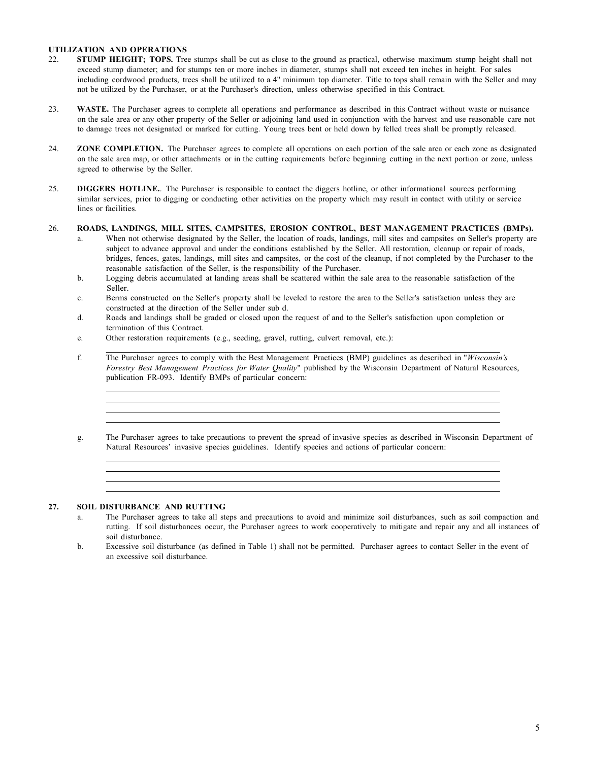#### **UTILIZATION AND OPERATIONS**

- 22. **STUMP HEIGHT; TOPS.** Tree stumps shall be cut as close to the ground as practical, otherwise maximum stump height shall not exceed stump diameter; and for stumps ten or more inches in diameter, stumps shall not exceed ten inches in height. For sales including cordwood products, trees shall be utilized to a 4" minimum top diameter. Title to tops shall remain with the Seller and may not be utilized by the Purchaser, or at the Purchaser's direction, unless otherwise specified in this Contract.
- 23. **WASTE.** The Purchaser agrees to complete all operations and performance as described in this Contract without waste or nuisance on the sale area or any other property of the Seller or adjoining land used in conjunction with the harvest and use reasonable care not to damage trees not designated or marked for cutting. Young trees bent or held down by felled trees shall be promptly released.
- 24. **ZONE COMPLETION.** The Purchaser agrees to complete all operations on each portion of the sale area or each zone as designated on the sale area map, or other attachments or in the cutting requirements before beginning cutting in the next portion or zone, unless agreed to otherwise by the Seller.
- 25. **DIGGERS HOTLINE.**. The Purchaser is responsible to contact the diggers hotline, or other informational sources performing similar services, prior to digging or conducting other activities on the property which may result in contact with utility or service lines or facilities.

#### 26. **ROADS, LANDINGS, MILL SITES, CAMPSITES, EROSION CONTROL, BEST MANAGEMENT PRACTICES (BMPs).**

- a. When not otherwise designated by the Seller, the location of roads, landings, mill sites and campsites on Seller's property are subject to advance approval and under the conditions established by the Seller. All restoration, cleanup or repair of roads, bridges, fences, gates, landings, mill sites and campsites, or the cost of the cleanup, if not completed by the Purchaser to the reasonable satisfaction of the Seller, is the responsibility of the Purchaser.
- b. Logging debris accumulated at landing areas shall be scattered within the sale area to the reasonable satisfaction of the Seller.
- c. Berms constructed on the Seller's property shall be leveled to restore the area to the Seller's satisfaction unless they are constructed at the direction of the Seller under sub d.
- d. Roads and landings shall be graded or closed upon the request of and to the Seller's satisfaction upon completion or termination of this Contract.
- e. Other restoration requirements (e.g., seeding, gravel, rutting, culvert removal, etc.):
- f. The Purchaser agrees to comply with the Best Management Practices (BMP) guidelines as described in "*Wisconsin's Forestry Best Management Practices for Water Quality*" published by the Wisconsin Department of Natural Resources, publication FR-093. Identify BMPs of particular concern:
- g. The Purchaser agrees to take precautions to prevent the spread of invasive species as described in Wisconsin Department of Natural Resources' invasive species guidelines. Identify species and actions of particular concern:

#### **27. SOIL DISTURBANCE AND RUTTING**

- The Purchaser agrees to take all steps and precautions to avoid and minimize soil disturbances, such as soil compaction and rutting. If soil disturbances occur, the Purchaser agrees to work cooperatively to mitigate and repair any and all instances of soil disturbance.
- b. Excessive soil disturbance (as defined in Table 1) shall not be permitted. Purchaser agrees to contact Seller in the event of an excessive soil disturbance.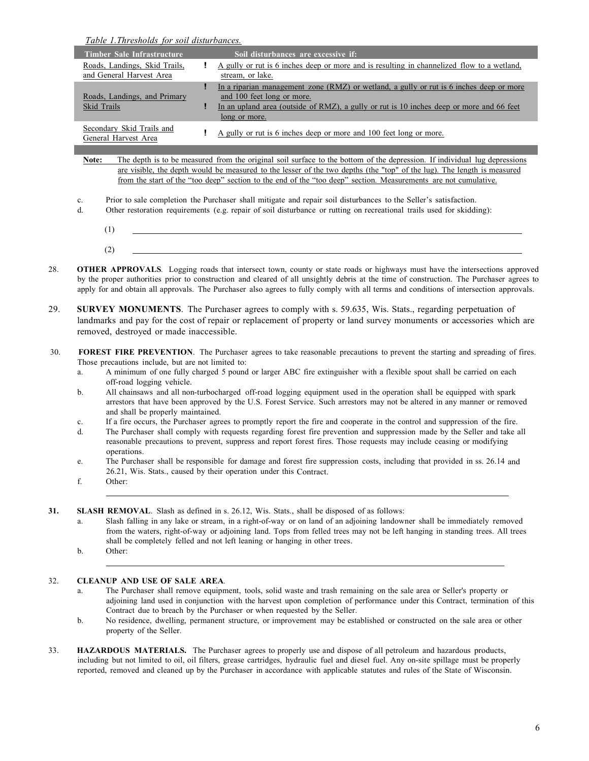*Table 1.Thresholds for soil disturbances.*

| <b>Timber Sale Infrastructure</b>                         | Soil disturbances are excessive if:                                                                                                                                                                                                |
|-----------------------------------------------------------|------------------------------------------------------------------------------------------------------------------------------------------------------------------------------------------------------------------------------------|
| Roads, Landings, Skid Trails,<br>and General Harvest Area | A gully or rut is 6 inches deep or more and is resulting in channelized flow to a wetland,<br>stream, or lake.                                                                                                                     |
| Roads, Landings, and Primary<br>Skid Trails               | In a riparian management zone (RMZ) or wetland, a gully or rut is 6 inches deep or more<br>and 100 feet long or more.<br>In an upland area (outside of RMZ), a gully or rut is 10 inches deep or more and 66 feet<br>long or more. |
| Secondary Skid Trails and<br>General Harvest Area         | A gully or rut is 6 inches deep or more and 100 feet long or more.                                                                                                                                                                 |
|                                                           |                                                                                                                                                                                                                                    |
| Note:                                                     | The depth is to be measured from the original soil surface to the bottom of the depression. If individual lug depressions                                                                                                          |

are visible, the depth would be measured to the lesser of the two depths (the "top" of the lug). The length is measured from the start of the "too deep" section to the end of the "too deep" section. Measurements are not cumulative.

- c. Prior to sale completion the Purchaser shall mitigate and repair soil disturbances to the Seller's satisfaction.
- d. Other restoration requirements (e.g. repair of soil disturbance or rutting on recreational trails used for skidding):
	- (1)
	- (2)
- 28. **OTHER APPROVALS***.* Logging roads that intersect town, county or state roads or highways must have the intersections approved by the proper authorities prior to construction and cleared of all unsightly debris at the time of construction. The Purchaser agrees to apply for and obtain all approvals. The Purchaser also agrees to fully comply with all terms and conditions of intersection approvals.
- 29. **SURVEY MONUMENTS**. The Purchaser agrees to comply with s. 59.635, Wis. Stats., regarding perpetuation of landmarks and pay for the cost of repair or replacement of property or land survey monuments or accessories which are removed, destroyed or made inaccessible.
- 30. **FOREST FIRE PREVENTION**. The Purchaser agrees to take reasonable precautions to prevent the starting and spreading of fires. Those precautions include, but are not limited to:
	- a. A minimum of one fully charged 5 pound or larger ABC fire extinguisher with a flexible spout shall be carried on each off-road logging vehicle.
	- b. All chainsaws and all non-turbocharged off-road logging equipment used in the operation shall be equipped with spark arrestors that have been approved by the U.S. Forest Service. Such arrestors may not be altered in any manner or removed and shall be properly maintained.
	- c. If a fire occurs, the Purchaser agrees to promptly report the fire and cooperate in the control and suppression of the fire.
	- d. The Purchaser shall comply with requests regarding forest fire prevention and suppression made by the Seller and take all reasonable precautions to prevent, suppress and report forest fires. Those requests may include ceasing or modifying operations.
	- e. The Purchaser shall be responsible for damage and forest fire suppression costs, including that provided in ss. 26.14 and 26.21, Wis. Stats., caused by their operation under this Contract.
	- f. Other:

**31. SLASH REMOVAL**. Slash as defined in s. 26.12, Wis. Stats., shall be disposed of as follows:

- a. Slash falling in any lake or stream, in a right-of-way or on land of an adjoining landowner shall be immediately removed from the waters, right-of-way or adjoining land. Tops from felled trees may not be left hanging in standing trees. All trees shall be completely felled and not left leaning or hanging in other trees.
- b. Other:

#### 32. **CLEANUP AND USE OF SALE AREA***.*

- a. The Purchaser shall remove equipment, tools, solid waste and trash remaining on the sale area or Seller's property or adjoining land used in conjunction with the harvest upon completion of performance under this Contract, termination of this Contract due to breach by the Purchaser or when requested by the Seller.
- b. No residence, dwelling, permanent structure, or improvement may be established or constructed on the sale area or other property of the Seller.
- 33. **HAZARDOUS MATERIALS.** The Purchaser agrees to properly use and dispose of all petroleum and hazardous products, including but not limited to oil, oil filters, grease cartridges, hydraulic fuel and diesel fuel. Any on-site spillage must be properly reported, removed and cleaned up by the Purchaser in accordance with applicable statutes and rules of the State of Wisconsin.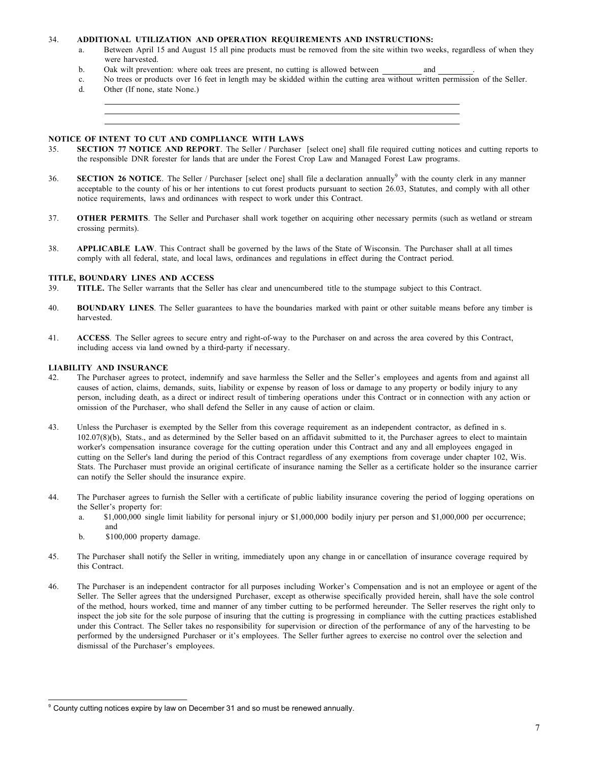#### 34. **ADDITIONAL UTILIZATION AND OPERATION REQUIREMENTS AND INSTRUCTIONS:**

- a. Between April 15 and August 15 all pine products must be removed from the site within two weeks, regardless of when they were harvested.
- b. Oak wilt prevention: where oak trees are present, no cutting is allowed between and
- c. No trees or products over 16 feet in length may be skidded within the cutting area without written permission of the Seller.
- d. Other (If none, state None.)

#### **NOTICE OF INTENT TO CUT AND COMPLIANCE WITH LAWS**

- 35. **SECTION 77 NOTICE AND REPORT**. The Seller / Purchaser [select one] shall file required cutting notices and cutting reports to the responsible DNR forester for lands that are under the Forest Crop Law and Managed Forest Law programs.
- 36. **SECTION 26 NOTICE**. The Seller / Purchaser [select one] shall file a declaration annually9 with the county clerk in any manner acceptable to the county of his or her intentions to cut forest products pursuant to section 26.03, Statutes, and comply with all other notice requirements, laws and ordinances with respect to work under this Contract.
- 37. **OTHER PERMITS**. The Seller and Purchaser shall work together on acquiring other necessary permits (such as wetland or stream crossing permits).
- 38. **APPLICABLE LAW**. This Contract shall be governed by the laws of the State of Wisconsin. The Purchaser shall at all times comply with all federal, state, and local laws, ordinances and regulations in effect during the Contract period.

#### **TITLE, BOUNDARY LINES AND ACCESS**

- 39. **TITLE.** The Seller warrants that the Seller has clear and unencumbered title to the stumpage subject to this Contract.
- 40. **BOUNDARY LINES**. The Seller guarantees to have the boundaries marked with paint or other suitable means before any timber is harvested.
- 41. **ACCESS**. The Seller agrees to secure entry and right-of-way to the Purchaser on and across the area covered by this Contract, including access via land owned by a third-party if necessary.

#### **LIABILITY AND INSURANCE**

- 42. The Purchaser agrees to protect, indemnify and save harmless the Seller and the Seller's employees and agents from and against all causes of action, claims, demands, suits, liability or expense by reason of loss or damage to any property or bodily injury to any person, including death, as a direct or indirect result of timbering operations under this Contract or in connection with any action or omission of the Purchaser, who shall defend the Seller in any cause of action or claim.
- 43. Unless the Purchaser is exempted by the Seller from this coverage requirement as an independent contractor, as defined in s.  $102.07(8)(b)$ , Stats., and as determined by the Seller based on an affidavit submitted to it, the Purchaser agrees to elect to maintain worker's compensation insurance coverage for the cutting operation under this Contract and any and all employees engaged in cutting on the Seller's land during the period of this Contract regardless of any exemptions from coverage under chapter 102, Wis. Stats. The Purchaser must provide an original certificate of insurance naming the Seller as a certificate holder so the insurance carrier can notify the Seller should the insurance expire.
- 44. The Purchaser agrees to furnish the Seller with a certificate of public liability insurance covering the period of logging operations on the Seller's property for:
	- a. \$1,000,000 single limit liability for personal injury or \$1,000,000 bodily injury per person and \$1,000,000 per occurrence; and
	- b. \$100,000 property damage.
- 45. The Purchaser shall notify the Seller in writing, immediately upon any change in or cancellation of insurance coverage required by this Contract.
- 46. The Purchaser is an independent contractor for all purposes including Worker's Compensation and is not an employee or agent of the Seller. The Seller agrees that the undersigned Purchaser, except as otherwise specifically provided herein, shall have the sole control of the method, hours worked, time and manner of any timber cutting to be performed hereunder. The Seller reserves the right only to inspect the job site for the sole purpose of insuring that the cutting is progressing in compliance with the cutting practices established under this Contract. The Seller takes no responsibility for supervision or direction of the performance of any of the harvesting to be performed by the undersigned Purchaser or it's employees. The Seller further agrees to exercise no control over the selection and dismissal of the Purchaser's employees.

County cutting notices expire by law on December 31 and so must be renewed annually.